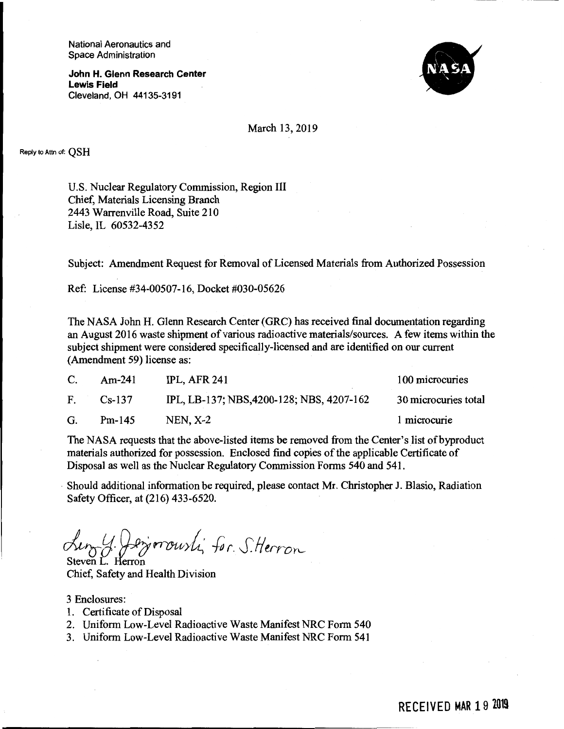National Aeronautics and Space Administration

**John H. Glenn Research Center Lewis Field**  Cleveland, OH 44135-3191



March 13, 2019

Reply to Attn of: **QSH** 

U.S. Nuclear Regulatory Commission, Region Ill Chief, Materials Licensing Branch 2443 Warrenville Road, Suite 210 Lisle, IL 60532-4352

Subject: Amendment Request for Removal of Licensed Materials from Authorized Possession

Ref: License #34-00507-16, Docket #030-05626

The NASA John H. Glenn Research Center (GRC) has received final documentation regarding an August 2016 waste shipment of various radioactive materials/sources. A few items within the subject shipment were considered specifically-licensed and are identified on our current (Amendment 59) license as:

| C. | $Am-241$ | <b>IPL, AFR 241</b>                       | 100 microcuries      |
|----|----------|-------------------------------------------|----------------------|
| F. | $Cs-137$ | IPL, LB-137; NBS, 4200-128; NBS, 4207-162 | 30 microcuries total |
| G. | $Pm-145$ | $NEN, X-2$                                | 1 microcurie         |

The NASA requests that the above-listed items be removed from the Center's list of byproduct materials authorized for possession. Enclosed find copies of the applicable Certificate of Disposal as well as the Nuclear Regulatory Commission Forms 540 and 541.

Should additional information be required, please contact Mr. Christopher J. Blasio, Radiation Safety Officer, at (216) 433-6520.

~IJ *Q..g,;,rrtYU>{ for. S.fluro,.\_*  Steven L. Herron

Chief, Safety and Health Division

3 Enclosures:

- 1. Certificate of Disposal
- 2. Uniform Low-Level Radioactive Waste Manifest NRC Form 540
- 3. Uniform Low-Level Radioactive Waste Manifest NRC Form 541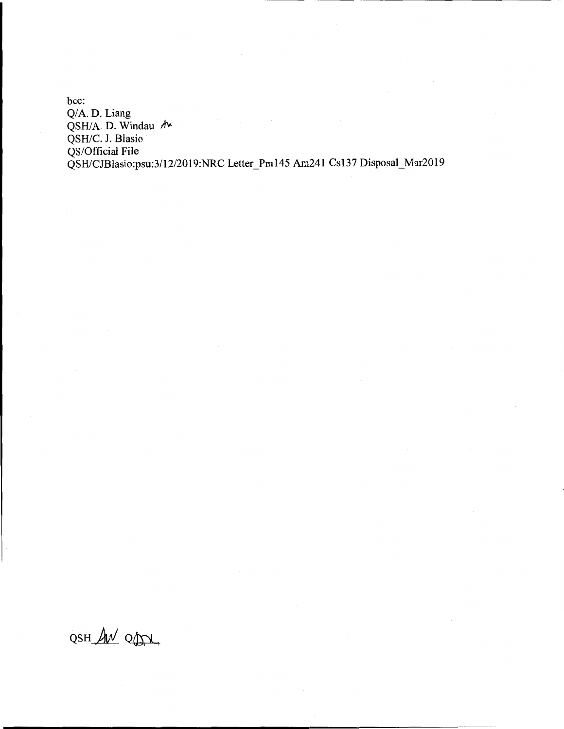bcc: Q/A. D. Liang QSH/A. D. Windau  $\Lambda$ QSH/C. J. Blasio QS/Official File QSH/CJBlasio:psu:3/12/2019:NRC Letter\_Pm145 Am241 Cs137 Disposal\_Mar2019

OSH AN ODI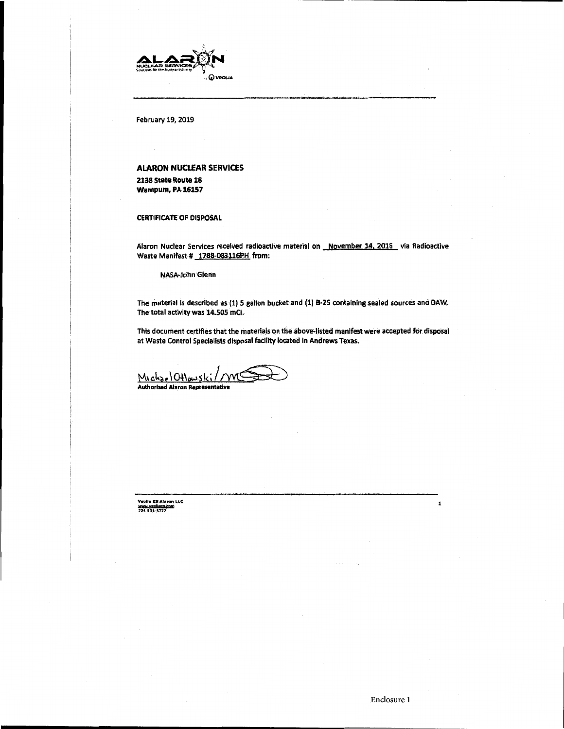

February 19, 2019

## **ALARON NUCLEAR SERVICES**

**2138 State Route 18**  wampum, **PA 16157** 

**CERTIFICATE OF DISPOSAL** 

Alaron Nuclear Services received radioactive material on November 14, 2016 via Radioactive Waste Manifest # 1788-083116PH from:

NASA•John Glenn

The material is described as (1) 5 gallon bucket and (1) B-25 containing sealed sources and DAW. The total activity was 14.505 mCI.

This document certifies that the materials on the above-listed manifest were accepted for disposal at Waste Control Specialists disposal facility located in Andrews Texas.

This document certifies that the materials on the above<br>at Waste Control Specialists disposal facility located in A<br>M, ch<sub>2e</sub> | Ottows K; / / WCOO **Authorized Alaron Representative** 

VcoU• E5 Alaron LLC<br>WWW.VRS<mark>Name.com</mark><br>724 six-s777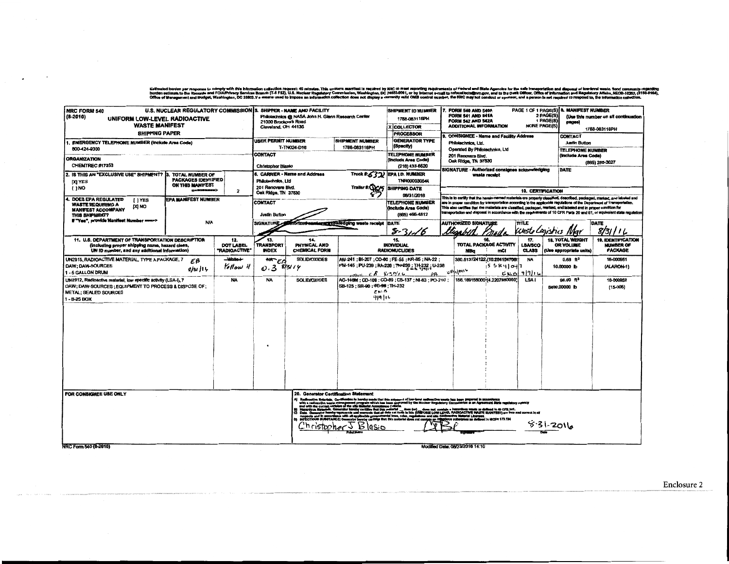Estimabd burden per response to comply with this information collection request: 45 minutes. This uniform manifest larequired by KRC to meet reporting requirements of Federal and State Agencies for the safe transportation

| <b>NRC FORM 540</b><br>$(8-2010)$<br>UNIFORM LOW-LEVEL RADIOACTIVE<br><b>WASTE MANIFEST</b><br><b>SHIPPING PAPER</b>                                                   | U.S. NUCLEAR REGULATORY COMMISSION 5. SHIPPER - NAME AND FACILITY                         |                                                                                                                                                                                 | 21000 Brookpark Road<br>Cleveland, OH 44135 | Philotechnics @ NASA John H. Glenn Research Center                            | SHIPMENT ID NUMBER<br>1788-063116PH<br>X COLLECTOR<br><b>PROCESSOR</b>                                                                                                                                                                                  | PAGE 1 OF 1 PAGE(S) 8. MANIFEST NUMBER<br>FORM 540 AND 540A<br><b>FORM 541 AND 541A</b><br>2 PAGE(S)<br>(Use this number on all continuation<br>1 PAGE(S)<br>FORM 542 AND 542A<br>pages)<br><b>ADDITIONAL INFORMATION</b><br><b>NONE PAGE(S)</b><br>1788-083116PH<br><b>CONSIGNEE - Name and Facility Address</b><br>CONTACT                                                                                                                                                                                        |                                                                                                                                                                                                |                                                                                                                                                                                                                                                                                                                                                                                                                                                                                                                  |                                                    |                                       |                                                                        |                                                                 |  |  |
|------------------------------------------------------------------------------------------------------------------------------------------------------------------------|-------------------------------------------------------------------------------------------|---------------------------------------------------------------------------------------------------------------------------------------------------------------------------------|---------------------------------------------|-------------------------------------------------------------------------------|---------------------------------------------------------------------------------------------------------------------------------------------------------------------------------------------------------------------------------------------------------|---------------------------------------------------------------------------------------------------------------------------------------------------------------------------------------------------------------------------------------------------------------------------------------------------------------------------------------------------------------------------------------------------------------------------------------------------------------------------------------------------------------------|------------------------------------------------------------------------------------------------------------------------------------------------------------------------------------------------|------------------------------------------------------------------------------------------------------------------------------------------------------------------------------------------------------------------------------------------------------------------------------------------------------------------------------------------------------------------------------------------------------------------------------------------------------------------------------------------------------------------|----------------------------------------------------|---------------------------------------|------------------------------------------------------------------------|-----------------------------------------------------------------|--|--|
| <b>ENERGENCY TELEPHONE NUMBER (Include Area Code)</b><br>B00-424-0300                                                                                                  |                                                                                           |                                                                                                                                                                                 | USER PERMIT NUMBER                          | <b>SHIPMENT NUMBER</b><br>T-TN024-D16                                         | <b>GENERATOR TYPE</b><br>(Specify)                                                                                                                                                                                                                      |                                                                                                                                                                                                                                                                                                                                                                                                                                                                                                                     | Philotechnics, Ltd.<br><b>Justin Button</b><br>Operated By Philotechnics, Ltd<br><b>TELEPHONE NUMBER</b><br>201 Renovare Blvd.<br>(Include Area Code)<br>Oak Ridge, TN 37830<br>(865) 285-3027 |                                                                                                                                                                                                                                                                                                                                                                                                                                                                                                                  |                                                    |                                       |                                                                        |                                                                 |  |  |
| <b>ORGANIZATION</b><br>CHEMTREC #17253                                                                                                                                 |                                                                                           |                                                                                                                                                                                 | CONTACT<br><b>Christopher Blasio</b>        |                                                                               | <b>TELEPHONE NUMBER</b><br>(Include Area Code)<br>(216) 433-6520                                                                                                                                                                                        |                                                                                                                                                                                                                                                                                                                                                                                                                                                                                                                     |                                                                                                                                                                                                |                                                                                                                                                                                                                                                                                                                                                                                                                                                                                                                  |                                                    |                                       |                                                                        |                                                                 |  |  |
| 2. IS THIS AN "EXCLUSIVE USE" SHIPMENT?<br><b>DQ YES</b><br>$[ \cdot ]$ NO                                                                                             | TOTAL NUMBER OF<br><b>PACKAGES IDENTIFIED</b><br>ON THIS MANIFEST<br>008088888            |                                                                                                                                                                                 |                                             | 8. CARRIER - Name and Address<br>Philotechnics, Ltd<br>201 Renovare Blvd.     |                                                                                                                                                                                                                                                         | Truck #: 532) EPA I.D. NUMBER<br>TNR000030544<br>Trailer #: WC/5 SHIPPING DATE                                                                                                                                                                                                                                                                                                                                                                                                                                      | SIGNATURE - Authorized consignee acknowledging<br>DATE<br>waste receipt<br><b>10. CERTIFICATION</b>                                                                                            |                                                                                                                                                                                                                                                                                                                                                                                                                                                                                                                  |                                                    |                                       |                                                                        |                                                                 |  |  |
| 4. DOES EPA REGULATED<br><b>I</b> IYES<br><b>WASTE REQUIRING A</b><br>DN [X]<br><b>MANIFEST ACCOMPANY</b><br>THIS SHIPMENT?                                            | $\overline{\mathbf{z}}$<br><b>EPA MANIFEST NUMBER</b>                                     |                                                                                                                                                                                 |                                             | Oak Ridge, TN 37830<br>CONTACT<br>(Include Area Code)<br><b>Justin Button</b> |                                                                                                                                                                                                                                                         |                                                                                                                                                                                                                                                                                                                                                                                                                                                                                                                     |                                                                                                                                                                                                | This is to certify that the <del>herein named materials</del> are properly classified, described, packaged, marked, and labuled end<br>are in proper condition for transportstion according to the applicable regulations of the Department of Transportation.<br>This also certifies that the materials are classified, packaged, merked, and labeled and in proper condition for<br>transportation and disposal in accordance with the requirements of 10 CFR Parts 20 and 61, or equivalent state regulation) |                                                    |                                       |                                                                        |                                                                 |  |  |
| If "Yes", provide Manifest Number ====>                                                                                                                                | <b>N/A</b>                                                                                |                                                                                                                                                                                 | <b>SIGNATURE</b>                            | horized caming a nowledging wasts receipt                                     | DATE<br>$8-3$                                                                                                                                                                                                                                           | Kisabill                                                                                                                                                                                                                                                                                                                                                                                                                                                                                                            | <b>AUTHORIZED SIGNATURE</b>                                                                                                                                                                    | mall                                                                                                                                                                                                                                                                                                                                                                                                                                                                                                             | <b>TITLE</b><br>cursto Cagistics                   |                                       | DATE<br>8/31/11                                                        |                                                                 |  |  |
| 11. U.S. DEPARTMENT OF TRANSPORTATION DESCRIPTION<br>(including proper shipping name, hazard class,<br>UN ID number, and any additional information)                   |                                                                                           | 12.<br>13.<br>14.<br>15.<br><b>TRANSPORT</b><br>DOT LABEL<br>PHYSICAL AND<br><b>INDIVIDUAL</b><br>"RADIOACTIVE"<br><b>INDEX</b><br><b>CHEMICAL FORM</b><br><b>RADIONUCLIDES</b> |                                             |                                                                               |                                                                                                                                                                                                                                                         |                                                                                                                                                                                                                                                                                                                                                                                                                                                                                                                     |                                                                                                                                                                                                | 16.<br>NBa                                                                                                                                                                                                                                                                                                                                                                                                                                                                                                       | TOTAL PACKAGE ACTIVITY<br>mCl                      | 17.<br><b>LBA/SCO</b><br><b>CLASS</b> | <b>18. TOTAL WEIGHT</b><br><b>OR VOLUME</b><br>(Use appropriate units) | <b>19. IDENTIFICATION</b><br><b>NUMBER OF</b><br><b>PACKAGE</b> |  |  |
| DAW: DAW-SOURCES<br>1 - 5 GALLON DRUM                                                                                                                                  | محملاتانات<br>UN2915, RADIOACTIVE MATERIAL, TYPE A PACKAGE, 7<br>ΕB<br>Kollow il<br>81114 |                                                                                                                                                                                 |                                             |                                                                               |                                                                                                                                                                                                                                                         | AM-241 : BI-207 : CO-60 : FE-55 : KR-85 : NA-22 :<br>PM-145 ; PU-239 ; RA-226 ; TH-239 ; TH-232 ; U-238<br>$\cos \theta + \frac{1}{2} E - \frac{1}{2} \frac{1}{2} \frac{1}{2} \frac{1}{2} \frac{1}{2} \frac{1}{2} \frac{1}{2} \frac{1}{2} \frac{1}{2} \frac{1}{2} \frac{1}{2} \frac{1}{2} \frac{1}{2} \frac{1}{2} \frac{1}{2} \frac{1}{2} \frac{1}{2} \frac{1}{2} \frac{1}{2} \frac{1}{2} \frac{1}{2} \frac{1}{2} \frac{1}{2} \frac{1}{2} \frac{1}{2} \frac{1}{2} \frac{1}{2} \frac{1}{2} \frac{1}{2} \frac{$<br>ρB | 2011                                                                                                                                                                                           |                                                                                                                                                                                                                                                                                                                                                                                                                                                                                                                  | 380.513724122.(10.284154706.)<br>5.5841041<br>EMDI | NA<br>9916                            | 0.68 <sup>8</sup><br>10,00000 lb                                       | 16-000951<br>(ALARON-1)                                         |  |  |
| UN2912, Radioactive material, low specific activity (LSA-I), 7<br>DAW; DAW-SOURCES; EQUIPMENT TO PROCESS & DISPOSE OF:<br><b>METAL: SEALED SOURCES</b><br>1 - B-25 BOX |                                                                                           | <b>NA</b>                                                                                                                                                                       | <b>NA</b>                                   | <b>SOLID/OXIDES</b>                                                           | SB-125; SR-90; TG-99; TH-232<br><b>EMB</b><br>919 116                                                                                                                                                                                                   | AG-140M; CD-109; CO-80; CS-137; NI-83; PO-210;                                                                                                                                                                                                                                                                                                                                                                                                                                                                      |                                                                                                                                                                                                |                                                                                                                                                                                                                                                                                                                                                                                                                                                                                                                  | 156.169156000 14.2207880000                        | LSA I                                 | 96.00 <sup>63</sup><br>8400,00000 lb                                   | 18-000952<br>$(15-005)$                                         |  |  |
|                                                                                                                                                                        |                                                                                           |                                                                                                                                                                                 |                                             |                                                                               |                                                                                                                                                                                                                                                         |                                                                                                                                                                                                                                                                                                                                                                                                                                                                                                                     |                                                                                                                                                                                                |                                                                                                                                                                                                                                                                                                                                                                                                                                                                                                                  |                                                    |                                       |                                                                        |                                                                 |  |  |
| FOR CONSIGNEE USE ONLY<br>NRC Form 540 (8-2010)                                                                                                                        |                                                                                           |                                                                                                                                                                                 |                                             | 20. Generator Certification Statement<br>'h ristopher                         | Realizactive Materials. Cortification to hereby made that this objectered of journant control realize<br>with a realized by waste transported program which has been approved by the hunder of the<br>and with the current register<br>ь<br><b>GSIC</b> | Hausdan Ministér Generale Institute traite the Phi material descriptions and also probable the materials on the GPR St.<br>Data Generale Memby represents and recreate blef of descriptions (OMB-DOM LOVI-LEVE), RADOACTME WARTE                                                                                                                                                                                                                                                                                    |                                                                                                                                                                                                | Modified Date: 08/23/2016 14:10                                                                                                                                                                                                                                                                                                                                                                                                                                                                                  | on or an Agreement State regulatory agency         |                                       | 5.31.2016                                                              |                                                                 |  |  |

NRC Form 540 (8-2010)

Enclosure 2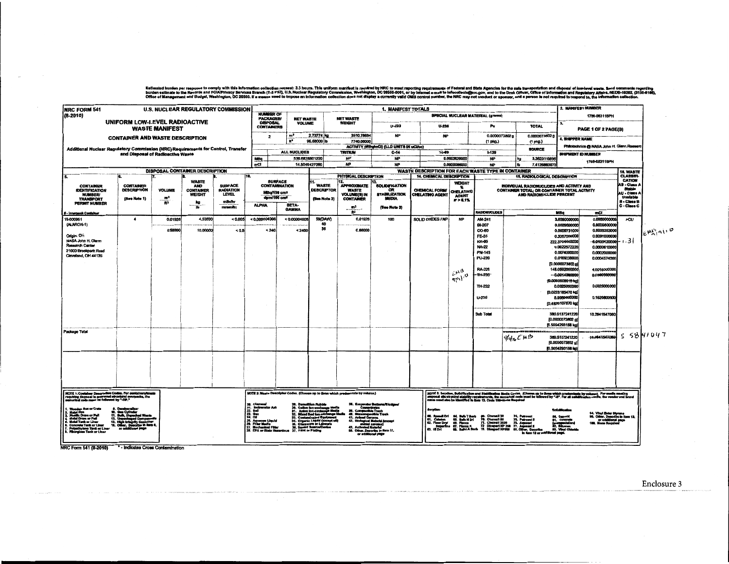Esimsted burden per responts to comply with this information collection request 3.3 hours. This uniform matriles is required by NRC to must mporting requirements of Faderal and State Agencies for the sele transportation an

| <b>INRC FORM 541</b>                                                                                                  |                                                                                   |                          |                                                                       | <b>U.S. NUCLEAR REGULATORY COMMISSION</b>                   |                                                                                   |                                                                            |                                                                                               |                                                                                    | 1. MANIFEST TOTALS                                                                                   |                                                    |                                                                 |                                                                                                                                                                                                                                   |                               |                                                                                                                       | 2. MANIFEST NUMBER                                                                                        |                                                                                                          |          |  |
|-----------------------------------------------------------------------------------------------------------------------|-----------------------------------------------------------------------------------|--------------------------|-----------------------------------------------------------------------|-------------------------------------------------------------|-----------------------------------------------------------------------------------|----------------------------------------------------------------------------|-----------------------------------------------------------------------------------------------|------------------------------------------------------------------------------------|------------------------------------------------------------------------------------------------------|----------------------------------------------------|-----------------------------------------------------------------|-----------------------------------------------------------------------------------------------------------------------------------------------------------------------------------------------------------------------------------|-------------------------------|-----------------------------------------------------------------------------------------------------------------------|-----------------------------------------------------------------------------------------------------------|----------------------------------------------------------------------------------------------------------|----------|--|
| $(8-2010)$                                                                                                            |                                                                                   |                          |                                                                       |                                                             |                                                                                   |                                                                            | <b>NUMBER OF</b><br>PACKAGE8/<br><b>NET WASTE</b><br>NET WASTE                                |                                                                                    |                                                                                                      |                                                    |                                                                 | SPECIAL NUCLEAR MATERIAL (grams)                                                                                                                                                                                                  |                               |                                                                                                                       | 1786-063116PH                                                                                             |                                                                                                          |          |  |
|                                                                                                                       | UNIFORM LOW-LEVEL RADIOACTIVE<br><b>WASTE MANIFEST</b>                            |                          |                                                                       | <b>DISPOSAL</b><br><b>VOLUME</b><br><b>CONTAINERS</b>       |                                                                                   | WEIGHT                                                                     |                                                                                               | $U - 233$<br>U-235                                                                 |                                                                                                      | Pu                                                 | <b>TOTAL</b>                                                    |                                                                                                                                                                                                                                   | PAGE 1 OF 2 PAGE(8)           |                                                                                                                       |                                                                                                           |                                                                                                          |          |  |
|                                                                                                                       | <b>CONTAINER AND WASTE DESCRIPTION</b>                                            |                          |                                                                       |                                                             | $\overline{z}$                                                                    | $\mathfrak{m}^3$<br>2.73774 kg<br>$\bullet$<br>96,68000 lb                 |                                                                                               | 3510.78684<br>7740,00000                                                           | <b>NP</b>                                                                                            |                                                    | <b>NP</b>                                                       |                                                                                                                                                                                                                                   | 0.0000073802<br>(1 pkg.)      | 0.0000073802                                                                                                          | <b>. SHIPPER NAME</b>                                                                                     |                                                                                                          |          |  |
|                                                                                                                       | Additional Nuclear Regulatory Commission (NRC) Requirements for Control, Transfer |                          |                                                                       |                                                             |                                                                                   |                                                                            |                                                                                               |                                                                                    | <b>ACTIVITY (MBg/mCl) (LLD UNITS IN uCl/cc)</b>                                                      |                                                    |                                                                 | (1 pkg.)                                                                                                                                                                                                                          | SOURCE                        |                                                                                                                       | Philotechnics @ NASA John H. Glenn Resear                                                                 |                                                                                                          |          |  |
|                                                                                                                       | and Disposal of Radioactive Waste                                                 |                          |                                                                       |                                                             |                                                                                   | ALL NUCLIDES                                                               |                                                                                               | TRITIUM                                                                            | C-14                                                                                                 | Tc-09                                              |                                                                 | $1-129$                                                                                                                                                                                                                           |                               |                                                                                                                       | <b>SHIPMENT ID NUMBER</b>                                                                                 |                                                                                                          |          |  |
|                                                                                                                       |                                                                                   |                          |                                                                       |                                                             | MBg                                                                               |                                                                            | 536.6828801220                                                                                | NP.                                                                                | <b>NP</b>                                                                                            |                                                    | 0.0003626000                                                    | <b>NP</b>                                                                                                                                                                                                                         |                               | 3,362311389                                                                                                           | 1788-083116FH                                                                                             |                                                                                                          |          |  |
|                                                                                                                       |                                                                                   |                          |                                                                       |                                                             | mCl                                                                               |                                                                            | 14.5049427080                                                                                 | <b>NP</b>                                                                          | <b>NP</b>                                                                                            | WASTE DESCRIPTION FOR EACH WASTE TYPE IN CONTAINER | 0.0000096000                                                    | <b>NP</b>                                                                                                                                                                                                                         | łЪ                            | 7.4126660079                                                                                                          |                                                                                                           |                                                                                                          |          |  |
| 5.                                                                                                                    |                                                                                   |                          | DISPOSAL CONTAINER DESCRIPTION                                        | 110.                                                        |                                                                                   |                                                                            |                                                                                               | PHYSICAL DESCRIPTION                                                               |                                                                                                      | <b>14. CHEMICAL DESCRIPTION</b>                    |                                                                 |                                                                                                                                                                                                                                   |                               | <b>15. RADIOLOGICAL DESCRIPTION</b>                                                                                   |                                                                                                           | 18. WASTE<br>CLASSIFI-                                                                                   |          |  |
| <b>CONTAINER</b><br><b>IDENTIFICATION</b><br><b>NUMBER/</b><br><b>TRANSPORT</b><br>PERMIT NUMBER                      | <b>CONTAINER</b><br><b>DESCRIPTION</b><br>[Sea Note 1)                            | <b>VOLUME</b><br>m<br>Ŧ. | <b>WASTE</b><br><b>AND</b><br><b>CONTAINER</b><br>WEIGHT<br>kg<br>ïö. | <b>SURFACE</b><br><b>RADIATION</b><br><b>LEVEL</b><br>m3whr | MBa/108 cm <sup>2</sup><br><b>ALPHA</b>                                           | <b>SURFACE</b><br><b>CONTAMINATION</b><br>dem/100 cm <sup>2</sup><br>BETA- | <b>WASTE</b><br><b>DESCRIPTOR</b><br>(Boe Note 2)                                             | 12.<br><b>APPROXMATE</b><br><b>WASTE</b><br>VOLUME(8) IN<br><b>CONTAINER</b><br>m, | <b>SOLIDIFICATION</b><br>œ<br><b>STABILIZATION</b><br>MEDIA                                          | CHEMICAL FORM<br>CHELATING AGENT                   | <b>WEIGHT</b><br>CHELATING<br><b>AGENT</b><br>F> 0.1%           |                                                                                                                                                                                                                                   |                               | INDIVIDUAL RADIONUCLIDES AND ACTIVITY AND<br>CONTAINER TOTAL; OR CONTAINER TOTAL ACTIVITY<br>AND RADIONUCLIDE PERCENT |                                                                                                           | CATION<br>AB - Class A<br>Stable<br><b>AU - Class A</b><br>Unstable<br><b>B</b> - Class B<br>C - Class C |          |  |
| I - Innerpack Container                                                                                               |                                                                                   |                          |                                                                       | mromAr                                                      |                                                                                   | <b>GAMMA</b>                                                               |                                                                                               | $\mathbf{B}^{\prime}$                                                              | (See Note 3)                                                                                         |                                                    |                                                                 | RADIONUCLIDES                                                                                                                                                                                                                     |                               | MBa                                                                                                                   | mCi                                                                                                       |                                                                                                          |          |  |
| 18-000951<br>(ALARON-1)                                                                                               | $\blacktriangleleft$                                                              | 0.01926                  | 4.53590                                                               | < 0.005                                                     | < 0.000004008                                                                     | < 0.00004005                                                               | 59(DAW)<br>40                                                                                 | 0.01926                                                                            | 100                                                                                                  | SOLID OXIDES / NP                                  | <b>NP</b>                                                       | AM-241<br><b>BI-207</b>                                                                                                                                                                                                           |                               | 0.0029600000                                                                                                          | 0.0980000000<br>3.6280000000<br>0.0000800000                                                              | <b>&gt;CU</b>                                                                                            |          |  |
|                                                                                                                       |                                                                                   | 0.68000                  | 10,00000                                                              | < 0.5                                                       | < 240                                                                             | < 2400                                                                     | 36                                                                                            | 0.68000                                                                            |                                                                                                      |                                                    |                                                                 | CO-60                                                                                                                                                                                                                             |                               |                                                                                                                       | 0.0009731000<br>0.0000263000                                                                              |                                                                                                          | EMPAIR O |  |
| Origin: OH                                                                                                            |                                                                                   |                          |                                                                       |                                                             |                                                                                   |                                                                            |                                                                                               |                                                                                    |                                                                                                      |                                                    |                                                                 | <b>FE-55</b>                                                                                                                                                                                                                      |                               | 0.3367000000                                                                                                          | 0.0091000000<br>$-6.0100120000 - 1 - 3$                                                                   |                                                                                                          |          |  |
| NASA John H. Glern<br>Research Center                                                                                 |                                                                                   |                          |                                                                       |                                                             |                                                                                   |                                                                            |                                                                                               |                                                                                    |                                                                                                      |                                                    |                                                                 | KR-85<br>NA-22                                                                                                                                                                                                                    |                               | 222.3704440000<br>0.0022572220                                                                                        | 0.0000610080                                                                                              |                                                                                                          |          |  |
| 21000 Brookpark Road                                                                                                  |                                                                                   |                          |                                                                       |                                                             |                                                                                   |                                                                            |                                                                                               |                                                                                    |                                                                                                      |                                                    |                                                                 | PN-145                                                                                                                                                                                                                            |                               | 0.0074000000                                                                                                          | 0.0002000000                                                                                              |                                                                                                          |          |  |
| Cleveland, OH 44135                                                                                                   |                                                                                   |                          |                                                                       |                                                             |                                                                                   |                                                                            |                                                                                               |                                                                                    |                                                                                                      |                                                    |                                                                 | PU-239                                                                                                                                                                                                                            |                               | 0.0169238000                                                                                                          | 0.0004574000                                                                                              |                                                                                                          |          |  |
|                                                                                                                       |                                                                                   |                          |                                                                       |                                                             |                                                                                   |                                                                            |                                                                                               |                                                                                    |                                                                                                      |                                                    |                                                                 | RA-226                                                                                                                                                                                                                            |                               | [0.0000073802 g<br>148.0592000000                                                                                     | 4,0015000000                                                                                              |                                                                                                          |          |  |
|                                                                                                                       |                                                                                   |                          |                                                                       |                                                             |                                                                                   |                                                                            |                                                                                               |                                                                                    |                                                                                                      |                                                    | <b>EMB</b>                                                      | 111-230                                                                                                                                                                                                                           |                               | $-0.001400000$                                                                                                        | 0.0000980000                                                                                              |                                                                                                          |          |  |
|                                                                                                                       |                                                                                   |                          |                                                                       |                                                             |                                                                                   |                                                                            |                                                                                               |                                                                                    |                                                                                                      |                                                    | gr1 <sub>0</sub>                                                |                                                                                                                                                                                                                                   |                               | {0.0000000015 kg}                                                                                                     |                                                                                                           |                                                                                                          |          |  |
|                                                                                                                       |                                                                                   |                          |                                                                       |                                                             |                                                                                   |                                                                            |                                                                                               |                                                                                    |                                                                                                      |                                                    |                                                                 | TH-232                                                                                                                                                                                                                            |                               | 0.0925000000                                                                                                          | 0.0025000000                                                                                              |                                                                                                          |          |  |
|                                                                                                                       |                                                                                   |                          |                                                                       |                                                             |                                                                                   |                                                                            |                                                                                               |                                                                                    |                                                                                                      |                                                    |                                                                 | U-238                                                                                                                                                                                                                             |                               | [0.0228185470 kg]<br>5.9980600000                                                                                     | 0.1620800000                                                                                              |                                                                                                          |          |  |
|                                                                                                                       |                                                                                   |                          |                                                                       |                                                             |                                                                                   |                                                                            |                                                                                               |                                                                                    |                                                                                                      |                                                    |                                                                 |                                                                                                                                                                                                                                   |                               | (0,4826107870 kg)                                                                                                     |                                                                                                           |                                                                                                          |          |  |
|                                                                                                                       |                                                                                   |                          |                                                                       |                                                             |                                                                                   |                                                                            |                                                                                               |                                                                                    |                                                                                                      |                                                    |                                                                 |                                                                                                                                                                                                                                   |                               |                                                                                                                       |                                                                                                           |                                                                                                          |          |  |
|                                                                                                                       |                                                                                   |                          |                                                                       |                                                             |                                                                                   |                                                                            |                                                                                               |                                                                                    |                                                                                                      |                                                    |                                                                 | <b>Sub Total</b>                                                                                                                                                                                                                  |                               | 380.5137241220                                                                                                        | 10.2841547080                                                                                             |                                                                                                          |          |  |
|                                                                                                                       |                                                                                   |                          |                                                                       |                                                             |                                                                                   |                                                                            |                                                                                               |                                                                                    |                                                                                                      |                                                    |                                                                 |                                                                                                                                                                                                                                   |                               | [0.0000073002 g]<br>F0.5054293158 kg                                                                                  |                                                                                                           |                                                                                                          |          |  |
| Package Total                                                                                                         |                                                                                   |                          |                                                                       |                                                             |                                                                                   |                                                                            |                                                                                               |                                                                                    |                                                                                                      |                                                    |                                                                 |                                                                                                                                                                                                                                   | ___________<br><b>SHEEMD</b>  | 380.5137241220                                                                                                        | 102841547080                                                                                              |                                                                                                          | 55841047 |  |
|                                                                                                                       |                                                                                   |                          |                                                                       |                                                             |                                                                                   |                                                                            |                                                                                               |                                                                                    |                                                                                                      |                                                    |                                                                 |                                                                                                                                                                                                                                   |                               | [0.0000073802 g]<br>[0.5054293158 kg]                                                                                 |                                                                                                           |                                                                                                          |          |  |
|                                                                                                                       |                                                                                   |                          |                                                                       |                                                             |                                                                                   |                                                                            |                                                                                               |                                                                                    |                                                                                                      |                                                    |                                                                 |                                                                                                                                                                                                                                   |                               |                                                                                                                       |                                                                                                           |                                                                                                          |          |  |
|                                                                                                                       |                                                                                   |                          |                                                                       |                                                             |                                                                                   |                                                                            |                                                                                               |                                                                                    |                                                                                                      |                                                    |                                                                 |                                                                                                                                                                                                                                   |                               |                                                                                                                       |                                                                                                           |                                                                                                          |          |  |
|                                                                                                                       |                                                                                   |                          |                                                                       |                                                             |                                                                                   |                                                                            |                                                                                               |                                                                                    |                                                                                                      |                                                    |                                                                 |                                                                                                                                                                                                                                   |                               |                                                                                                                       |                                                                                                           |                                                                                                          |          |  |
|                                                                                                                       |                                                                                   |                          |                                                                       |                                                             |                                                                                   |                                                                            |                                                                                               |                                                                                    |                                                                                                      |                                                    |                                                                 |                                                                                                                                                                                                                                   |                               |                                                                                                                       |                                                                                                           |                                                                                                          |          |  |
|                                                                                                                       |                                                                                   |                          |                                                                       |                                                             |                                                                                   |                                                                            |                                                                                               |                                                                                    |                                                                                                      |                                                    |                                                                 |                                                                                                                                                                                                                                   |                               |                                                                                                                       |                                                                                                           |                                                                                                          |          |  |
| NOTE 1: Container Description Codes. For containers/waste<br>requiring disposal in approved structural overpacks, the |                                                                                   |                          |                                                                       |                                                             | WOTE 2: Waste Descriptor Codes. (Choose up to three which predominate by volume.) |                                                                            |                                                                                               |                                                                                    |                                                                                                      |                                                    |                                                                 | NOTE 3: Serpton, Bolitification and Stabilization Media Codes. (Cheese up to three which predominate by volume). For media meeting<br>disposal alle structuri stability requirements, the municipal code must be followed by "-8" |                               |                                                                                                                       |                                                                                                           |                                                                                                          |          |  |
|                                                                                                                       |                                                                                   |                          |                                                                       |                                                             | <b>28. Chargoni</b><br>21. Inclinerator Ash                                       |                                                                            | Demoktion Rubble<br>Callon fon-exchange Media -<br>الأستان - Lon-exchange Media<br>- Change M |                                                                                    | 38. Evaporator Bottoms/Skrdges                                                                       | Serption                                           |                                                                 |                                                                                                                                                                                                                                   |                               | <b>Soficiliteatio</b>                                                                                                 |                                                                                                           |                                                                                                          |          |  |
| , Wooden Box er Crate<br>, Metel Box<br>, Pleatic Dram or Pell<br>, Metal Dram or Pell                                |                                                                                   |                          |                                                                       |                                                             | 22. Soll<br>23. Gua<br>24, 08                                                     |                                                                            | bed Equips                                                                                    | <b>Compacifide Trash</b>                                                           |                                                                                                      | nd Dri<br>. .                                      |                                                                 |                                                                                                                                                                                                                                   | 74. Putrosat<br>75. Putrosati |                                                                                                                       | 94, Vinyi Ester Blyrana<br>99, Other, Describe in item 13,<br>47 ar additional page<br>188, Nose Rogaleed |                                                                                                          |          |  |
| <b>Motel Tard: or Liner</b>                                                                                           | or Dearly                                                                         |                          |                                                                       |                                                             | 25. Augustus Liquid<br>28. Filter Media<br>27. Mechanical Filter                  |                                                                            | 34. Organic Liquid (cxcept off<br>35. Glassware or Labware                                    |                                                                                    | as. Morrompenwww<br>41. Animul Curcess<br>42. Biological Mobelal (encoup)<br>42. Biological Cancess) | et. Calaton                                        | 84, Sufe T Sort<br>85, Sufe N Dri<br>66, Florco<br>67, Florco X | 99. Chenuli 30<br>79. Chamail 80<br>71. Chemail 3030                                                                                                                                                                              | 78. Aquest                    | 91. Con                                                                                                               |                                                                                                           |                                                                                                          |          |  |
| <b>Concrete Tenk or Liner</b><br>Polyethylene Tank or Liner<br>Fibergises Tank or Liner                               |                                                                                   |                          |                                                                       |                                                             |                                                                                   | 28. EPA or State Hazardous 37. Paint or Plating                            | 36. Sealed Source/Device                                                                      | animal carcess<br>Activated Material                                               |                                                                                                      | 5.000                                              |                                                                 | 72 Dicepert HP 208                                                                                                                                                                                                                | 77. Am                        |                                                                                                                       |                                                                                                           |                                                                                                          |          |  |
|                                                                                                                       |                                                                                   |                          |                                                                       |                                                             |                                                                                   |                                                                            |                                                                                               |                                                                                    | 59. Other. Describe in Nem 11,<br>or additional page                                                 |                                                    |                                                                 |                                                                                                                                                                                                                                   |                               | In Kern 12 or additional page.                                                                                        |                                                                                                           |                                                                                                          |          |  |
|                                                                                                                       |                                                                                   |                          |                                                                       |                                                             |                                                                                   |                                                                            |                                                                                               |                                                                                    |                                                                                                      |                                                    |                                                                 |                                                                                                                                                                                                                                   |                               |                                                                                                                       |                                                                                                           |                                                                                                          |          |  |

NRC Form 541 (8-2010) . Indicates Cross Contemination

Enclosure 3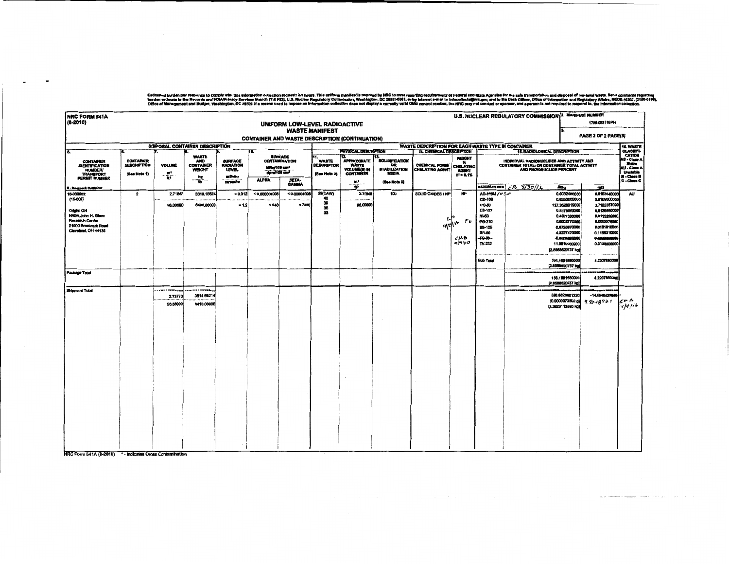Estimated burden per response to comply with this information collection request 3.3 hours. This uniform manifest is required by NRC to must monting requirements of Federal and State Agencies of the self remembership one o

 $\sim$   $\sim$ 

| <b>NRC FORM 541A</b>                                                                               |                                                        |                                          |                                                                |                                                              |                                                           |                               |                                                          |                                                                             |                                                                            |                                                                                                                                                                                                                             |                                       |                                                                                                       | U.S. NUCLEAR REGULATORY COMMISSION 3. MANIFEST NUMBER             |                                                                                                                                                       |                                                                                                                              |                     |
|----------------------------------------------------------------------------------------------------|--------------------------------------------------------|------------------------------------------|----------------------------------------------------------------|--------------------------------------------------------------|-----------------------------------------------------------|-------------------------------|----------------------------------------------------------|-----------------------------------------------------------------------------|----------------------------------------------------------------------------|-----------------------------------------------------------------------------------------------------------------------------------------------------------------------------------------------------------------------------|---------------------------------------|-------------------------------------------------------------------------------------------------------|-------------------------------------------------------------------|-------------------------------------------------------------------------------------------------------------------------------------------------------|------------------------------------------------------------------------------------------------------------------------------|---------------------|
| (8-2010)                                                                                           |                                                        |                                          |                                                                |                                                              |                                                           | UNIFORM LOW-LEVEL RADIOACTIVE |                                                          |                                                                             |                                                                            |                                                                                                                                                                                                                             |                                       |                                                                                                       |                                                                   |                                                                                                                                                       | 1788-083116PH                                                                                                                |                     |
|                                                                                                    |                                                        |                                          |                                                                |                                                              |                                                           |                               | <b>WASTE MANIFEST</b>                                    | <b>CONTAINER AND WASTE DESCRIPTION (CONTINUATION)</b>                       |                                                                            |                                                                                                                                                                                                                             |                                       |                                                                                                       |                                                                   |                                                                                                                                                       | PAGE 2 OF 2 PAGE(S)                                                                                                          |                     |
|                                                                                                    |                                                        |                                          |                                                                |                                                              |                                                           |                               |                                                          |                                                                             |                                                                            | WASTE DESCRIPTION FOR EACH WASTE TYPE IN CONTAINER                                                                                                                                                                          |                                       |                                                                                                       |                                                                   |                                                                                                                                                       |                                                                                                                              | <b>16. WASTE</b>    |
| π                                                                                                  |                                                        |                                          | DISPOSAL CONTAINER DESCRIPTION                                 |                                                              | 10.                                                       |                               |                                                          | PHYSICAL DEBCRIPTION                                                        |                                                                            | <b>14. CHEMICAL DESCRIPTION</b>                                                                                                                                                                                             |                                       |                                                                                                       | <b>15. RADIOLOGICAL DESCRIPTION</b>                               |                                                                                                                                                       |                                                                                                                              | CLASSIFI-<br>CATION |
| <b>CONTAINER</b><br><b>IDENTIFICATION</b><br><b>NUMBER/</b><br><b>TRANSPORT</b>                    | <b>CONTAINER</b><br><b>DESCRIPTION</b><br>(See Note 1) | <b>VOLUME</b><br>$\frac{m^2}{R^2}$       | <b>WASTE</b><br><b>AND</b><br><b>CONTAINER</b><br>WEIGHT<br>kg | <b>SURFACE</b><br><b>RADIATION</b><br><b>LEVEL</b><br>mövinr | <b>SURFACE</b><br>MBar109 cm <sup>2</sup><br>dptart00 cm* | <b>CONTAMINATION</b>          | 11.<br><b>WASTE</b><br><b>DESCRIPTOR</b><br>(Sse Note 2) | 12<br><b>APPROXMATE</b><br><b>WASTE</b><br>VOLUME(8) IN<br><b>CONTAINER</b> | <b>SOLIDIFICATION</b><br><b>OR</b><br><b>STABILIZATION</b><br><b>MEDIA</b> | WEIGHT<br>INDIVIDUAL RADIONUCLIDES AND ACTIVITY AND<br>۰.<br>CONTAINER TOTAL; OR CONTAINER TOTAL ACTIVITY<br>CHEMICAL FORM!<br><b>CHELATING</b><br>CHELATING AGENT<br>AND RADIONUCLIDE PERCENT<br><b>AGENT</b><br>IF > 0.1% |                                       |                                                                                                       | AS - Class A<br>Stable<br>AU - Class A<br>Unutable<br>B - Clean B |                                                                                                                                                       |                                                                                                                              |                     |
| PERMIT NUMBER<br>8 - Imnerpack Containe                                                            |                                                        |                                          | $-\mathbf{v}$                                                  | mromfur                                                      | <b>ALPHA</b>                                              | <b>BETA-</b><br><b>GAMBIA</b> |                                                          | m,<br>ff3                                                                   | (See Note 3)                                                               |                                                                                                                                                                                                                             |                                       | RADIONUCLIDES                                                                                         | $FB$ $S/3011L$                                                    | Hillig                                                                                                                                                | mCI                                                                                                                          | C - Class C         |
| 16-000952<br>$(16-005)$                                                                            | $\overline{\mathbf{z}}$                                | 2.71847                                  | 3810.15624                                                     | $= 0.012$                                                    | < 0.000004008                                             | < 0.00004008                  | 59(DAW)<br>40                                            | 2.71848                                                                     | 100                                                                        | SOLID OXIDES / NP                                                                                                                                                                                                           | <b>AP</b>                             | AG-HOM / O tim<br>CD-109                                                                              |                                                                   | 0.6032480000<br>0.6253000000                                                                                                                          | 0.0163040000<br>0.0169000000                                                                                                 | <b>AU</b>           |
| Origin: OH<br>NASA John H. Glenn<br>Research Center<br>21000 Brookpark Road<br>Cleveland, OH 44135 |                                                        | 96.00000                                 | 8400.00000                                                     | $-1.2$                                                       | < 240                                                     | < 2400                        | 39<br>36<br>33                                           | 96,00000                                                                    |                                                                            | এখ                                                                                                                                                                                                                          | $\rho_{\bm{p}}$<br>۱v<br>CKB<br>つきりゅう | CO-80<br>C8-137<br><b>MI-63</b><br>PO-210<br><b>SB-125</b><br><b>SR-80</b><br><b>TC-89-</b><br>TH-232 |                                                                   | 137,3628319000<br>0.5175560000<br>0.4931360000<br>0.0002775000<br>0.6728070000<br>4.3227470000<br>-0.0003620006<br>11.5810000000<br>[2,8568820737 kg] | 3.7122387000<br>0.0139880000<br>0.0133280000<br>0.0000075000<br>0.0181810000<br>0.1168310000<br>0.0000000000<br>0.3130000000 |                     |
|                                                                                                    |                                                        |                                          |                                                                |                                                              |                                                           |                               |                                                          |                                                                             |                                                                            |                                                                                                                                                                                                                             |                                       | <b>Sub Total</b>                                                                                      |                                                                   | 156.1691580000<br>[2.8568820737 kg                                                                                                                    | 4.2207880000                                                                                                                 |                     |
| Package Total                                                                                      |                                                        |                                          |                                                                |                                                              |                                                           |                               |                                                          |                                                                             |                                                                            |                                                                                                                                                                                                                             |                                       |                                                                                                       |                                                                   | 156.1891560000<br>[2.8588820737 kg                                                                                                                    | 4.2207880000                                                                                                                 |                     |
| <b>Shipment Total</b>                                                                              |                                                        | <b>ANCOURSERY</b><br>2.73773<br>96,68000 | 3614.69214<br>8410.00000                                       |                                                              |                                                           |                               |                                                          |                                                                             |                                                                            |                                                                                                                                                                                                                             |                                       |                                                                                                       | m receitttenni                                                    | 536.6828801220<br>[0.0000073802 g)<br>3.3623113895 kg                                                                                                 | $-14,6049427066$<br>$9.80 + 8721$                                                                                            | rw M<br>7/9/16      |
|                                                                                                    |                                                        |                                          |                                                                |                                                              |                                                           |                               |                                                          |                                                                             |                                                                            |                                                                                                                                                                                                                             |                                       |                                                                                                       |                                                                   |                                                                                                                                                       |                                                                                                                              |                     |
|                                                                                                    |                                                        |                                          |                                                                |                                                              |                                                           |                               |                                                          |                                                                             |                                                                            |                                                                                                                                                                                                                             |                                       |                                                                                                       |                                                                   |                                                                                                                                                       |                                                                                                                              |                     |
|                                                                                                    |                                                        |                                          |                                                                |                                                              |                                                           |                               |                                                          |                                                                             |                                                                            |                                                                                                                                                                                                                             |                                       |                                                                                                       |                                                                   |                                                                                                                                                       |                                                                                                                              |                     |
|                                                                                                    |                                                        |                                          |                                                                |                                                              |                                                           |                               |                                                          |                                                                             |                                                                            |                                                                                                                                                                                                                             |                                       |                                                                                                       |                                                                   |                                                                                                                                                       |                                                                                                                              |                     |

NRC Form 541A (8-2010) \* - Indicates Cross Contamination